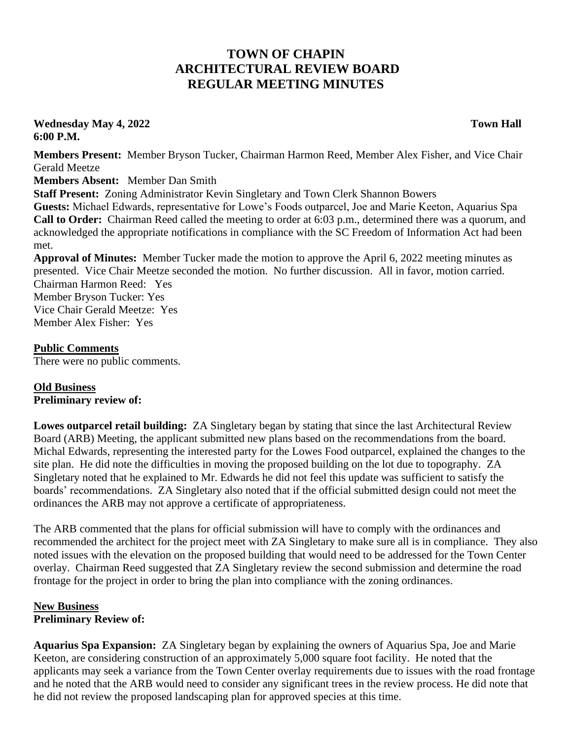## **TOWN OF CHAPIN ARCHITECTURAL REVIEW BOARD REGULAR MEETING MINUTES**

**Wednesday May 4, 2022 Town Hall 6:00 P.M.**

**Members Present:** Member Bryson Tucker, Chairman Harmon Reed, Member Alex Fisher, and Vice Chair Gerald Meetze

**Members Absent:** Member Dan Smith

**Staff Present:** Zoning Administrator Kevin Singletary and Town Clerk Shannon Bowers

**Guests:** Michael Edwards, representative for Lowe's Foods outparcel, Joe and Marie Keeton, Aquarius Spa **Call to Order:** Chairman Reed called the meeting to order at 6:03 p.m., determined there was a quorum, and acknowledged the appropriate notifications in compliance with the SC Freedom of Information Act had been met.

**Approval of Minutes:** Member Tucker made the motion to approve the April 6, 2022 meeting minutes as presented. Vice Chair Meetze seconded the motion. No further discussion. All in favor, motion carried. Chairman Harmon Reed: Yes Member Bryson Tucker: Yes Vice Chair Gerald Meetze: Yes Member Alex Fisher: Yes

## **Public Comments**

There were no public comments.

## **Old Business Preliminary review of:**

**Lowes outparcel retail building:** ZA Singletary began by stating that since the last Architectural Review Board (ARB) Meeting, the applicant submitted new plans based on the recommendations from the board. Michal Edwards, representing the interested party for the Lowes Food outparcel, explained the changes to the site plan. He did note the difficulties in moving the proposed building on the lot due to topography. ZA Singletary noted that he explained to Mr. Edwards he did not feel this update was sufficient to satisfy the boards' recommendations. ZA Singletary also noted that if the official submitted design could not meet the ordinances the ARB may not approve a certificate of appropriateness.

The ARB commented that the plans for official submission will have to comply with the ordinances and recommended the architect for the project meet with ZA Singletary to make sure all is in compliance. They also noted issues with the elevation on the proposed building that would need to be addressed for the Town Center overlay. Chairman Reed suggested that ZA Singletary review the second submission and determine the road frontage for the project in order to bring the plan into compliance with the zoning ordinances.

## **New Business Preliminary Review of:**

**Aquarius Spa Expansion:** ZA Singletary began by explaining the owners of Aquarius Spa, Joe and Marie Keeton, are considering construction of an approximately 5,000 square foot facility. He noted that the applicants may seek a variance from the Town Center overlay requirements due to issues with the road frontage and he noted that the ARB would need to consider any significant trees in the review process. He did note that he did not review the proposed landscaping plan for approved species at this time.